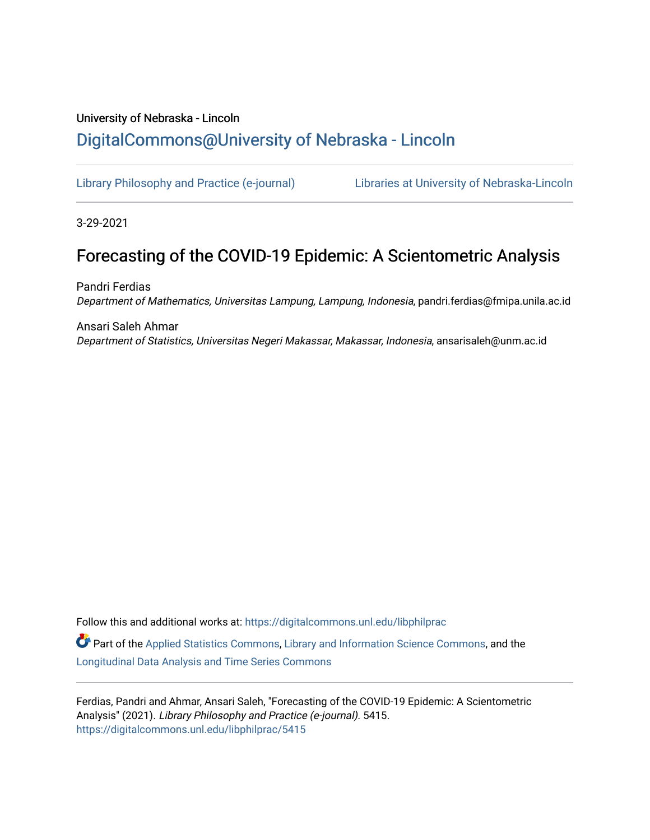# University of Nebraska - Lincoln [DigitalCommons@University of Nebraska - Lincoln](https://digitalcommons.unl.edu/)

[Library Philosophy and Practice \(e-journal\)](https://digitalcommons.unl.edu/libphilprac) [Libraries at University of Nebraska-Lincoln](https://digitalcommons.unl.edu/libraries) 

3-29-2021

# Forecasting of the COVID-19 Epidemic: A Scientometric Analysis

Pandri Ferdias Department of Mathematics, Universitas Lampung, Lampung, Indonesia, pandri.ferdias@fmipa.unila.ac.id

Ansari Saleh Ahmar Department of Statistics, Universitas Negeri Makassar, Makassar, Indonesia, ansarisaleh@unm.ac.id

Follow this and additional works at: [https://digitalcommons.unl.edu/libphilprac](https://digitalcommons.unl.edu/libphilprac?utm_source=digitalcommons.unl.edu%2Flibphilprac%2F5415&utm_medium=PDF&utm_campaign=PDFCoverPages) 

 $\bullet$  Part of the [Applied Statistics Commons](http://network.bepress.com/hgg/discipline/209?utm_source=digitalcommons.unl.edu%2Flibphilprac%2F5415&utm_medium=PDF&utm_campaign=PDFCoverPages), [Library and Information Science Commons,](http://network.bepress.com/hgg/discipline/1018?utm_source=digitalcommons.unl.edu%2Flibphilprac%2F5415&utm_medium=PDF&utm_campaign=PDFCoverPages) and the [Longitudinal Data Analysis and Time Series Commons](http://network.bepress.com/hgg/discipline/822?utm_source=digitalcommons.unl.edu%2Flibphilprac%2F5415&utm_medium=PDF&utm_campaign=PDFCoverPages)

Ferdias, Pandri and Ahmar, Ansari Saleh, "Forecasting of the COVID-19 Epidemic: A Scientometric Analysis" (2021). Library Philosophy and Practice (e-journal). 5415. [https://digitalcommons.unl.edu/libphilprac/5415](https://digitalcommons.unl.edu/libphilprac/5415?utm_source=digitalcommons.unl.edu%2Flibphilprac%2F5415&utm_medium=PDF&utm_campaign=PDFCoverPages)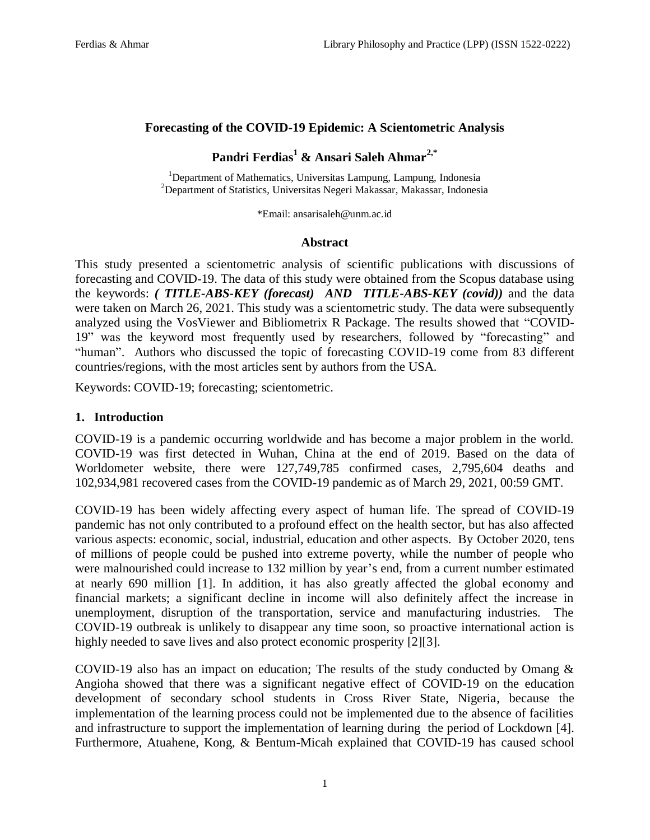#### **Forecasting of the COVID-19 Epidemic: A Scientometric Analysis**

# **Pandri Ferdias<sup>1</sup> & Ansari Saleh Ahmar2,\***

<sup>1</sup>Department of Mathematics, Universitas Lampung, Lampung, Indonesia <sup>2</sup>Department of Statistics, Universitas Negeri Makassar, Makassar, Indonesia

\*Email: ansarisaleh@unm.ac.id

#### **Abstract**

This study presented a scientometric analysis of scientific publications with discussions of forecasting and COVID-19. The data of this study were obtained from the Scopus database using the keywords: *( TITLE-ABS-KEY (forecast) AND TITLE-ABS-KEY (covid))* and the data were taken on March 26, 2021. This study was a scientometric study. The data were subsequently analyzed using the VosViewer and Bibliometrix R Package. The results showed that "COVID-19" was the keyword most frequently used by researchers, followed by "forecasting" and "human". Authors who discussed the topic of forecasting COVID-19 come from 83 different countries/regions, with the most articles sent by authors from the USA.

Keywords: COVID-19; forecasting; scientometric.

#### **1. Introduction**

COVID-19 is a pandemic occurring worldwide and has become a major problem in the world. COVID-19 was first detected in Wuhan, China at the end of 2019. Based on the data of Worldometer website, there were 127,749,785 confirmed cases, 2,795,604 deaths and 102,934,981 recovered cases from the COVID-19 pandemic as of March 29, 2021, 00:59 GMT.

COVID-19 has been widely affecting every aspect of human life. The spread of COVID-19 pandemic has not only contributed to a profound effect on the health sector, but has also affected various aspects: economic, social, industrial, education and other aspects. By October 2020, tens of millions of people could be pushed into extreme poverty, while the number of people who were malnourished could increase to 132 million by year's end, from a current number estimated at nearly 690 million [1]. In addition, it has also greatly affected the global economy and financial markets; a significant decline in income will also definitely affect the increase in unemployment, disruption of the transportation, service and manufacturing industries. The COVID-19 outbreak is unlikely to disappear any time soon, so proactive international action is highly needed to save lives and also protect economic prosperity [2][3].

COVID-19 also has an impact on education; The results of the study conducted by Omang & Angioha showed that there was a significant negative effect of COVID-19 on the education development of secondary school students in Cross River State, Nigeria, because the implementation of the learning process could not be implemented due to the absence of facilities and infrastructure to support the implementation of learning during the period of Lockdown [4]. Furthermore, Atuahene, Kong, & Bentum-Micah explained that COVID-19 has caused school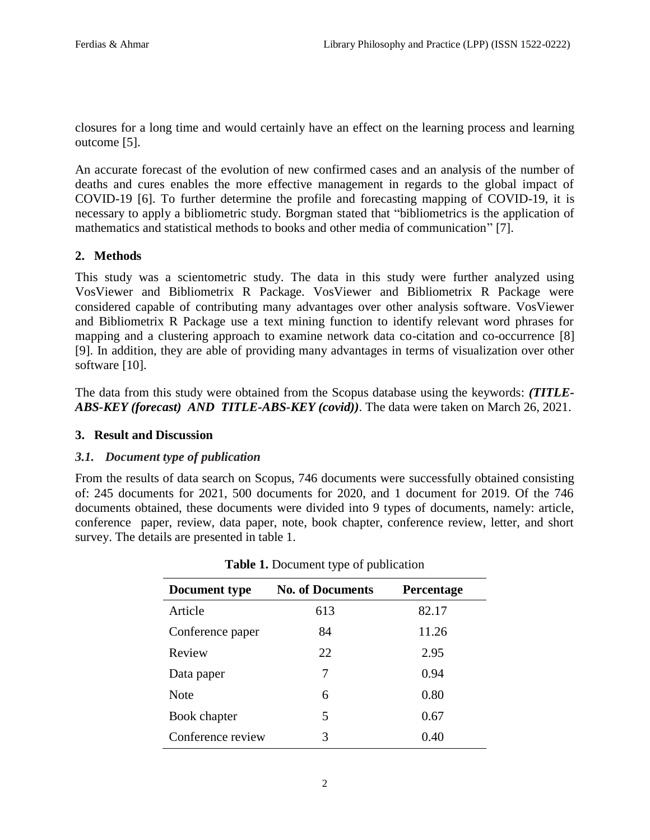closures for a long time and would certainly have an effect on the learning process and learning outcome [5].

An accurate forecast of the evolution of new confirmed cases and an analysis of the number of deaths and cures enables the more effective management in regards to the global impact of COVID-19 [6]. To further determine the profile and forecasting mapping of COVID-19, it is necessary to apply a bibliometric study. Borgman stated that "bibliometrics is the application of mathematics and statistical methods to books and other media of communication" [7].

# **2. Methods**

This study was a scientometric study. The data in this study were further analyzed using VosViewer and Bibliometrix R Package. VosViewer and Bibliometrix R Package were considered capable of contributing many advantages over other analysis software. VosViewer and Bibliometrix R Package use a text mining function to identify relevant word phrases for mapping and a clustering approach to examine network data co-citation and co-occurrence [8] [9]. In addition, they are able of providing many advantages in terms of visualization over other software [10].

The data from this study were obtained from the Scopus database using the keywords: *(TITLE-ABS-KEY (forecast) AND TITLE-ABS-KEY (covid))*. The data were taken on March 26, 2021.

# **3. Result and Discussion**

# *3.1. Document type of publication*

From the results of data search on Scopus, 746 documents were successfully obtained consisting of: 245 documents for 2021, 500 documents for 2020, and 1 document for 2019. Of the 746 documents obtained, these documents were divided into 9 types of documents, namely: article, conference paper, review, data paper, note, book chapter, conference review, letter, and short survey. The details are presented in table 1.

| Document type     | <b>No. of Documents</b> | <b>Percentage</b> |
|-------------------|-------------------------|-------------------|
| Article           | 613                     | 82.17             |
| Conference paper  | 84                      | 11.26             |
| Review            | 22                      | 2.95              |
| Data paper        | 7                       | 0.94              |
| <b>Note</b>       | 6                       | 0.80              |
| Book chapter      | 5                       | 0.67              |
| Conference review | 3                       | 0.40              |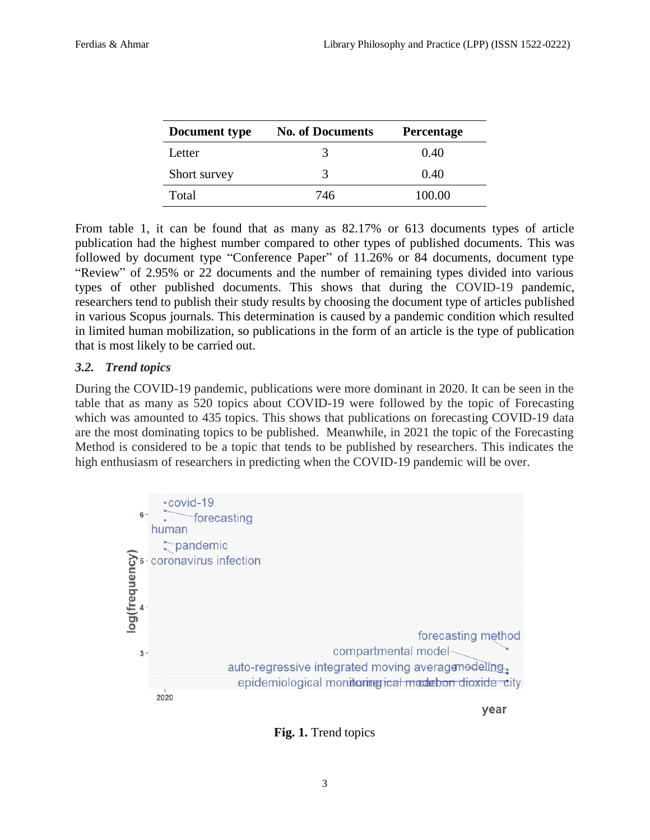| Document type | <b>No. of Documents</b> | <b>Percentage</b> |  |
|---------------|-------------------------|-------------------|--|
| Letter        |                         | 0.40              |  |
| Short survey  | 3                       | 0.40              |  |
| Total         | 746                     | 100.00            |  |

From table 1, it can be found that as many as 82.17% or 613 documents types of article publication had the highest number compared to other types of published documents. This was followed by document type "Conference Paper" of 11.26% or 84 documents, document type "Review" of 2.95% or 22 documents and the number of remaining types divided into various types of other published documents. This shows that during the COVID-19 pandemic, researchers tend to publish their study results by choosing the document type of articles published in various Scopus journals. This determination is caused by a pandemic condition which resulted in limited human mobilization, so publications in the form of an article is the type of publication that is most likely to be carried out.

# *3.2. Trend topics*

During the COVID-19 pandemic, publications were more dominant in 2020. It can be seen in the table that as many as 520 topics about COVID-19 were followed by the topic of Forecasting which was amounted to 435 topics. This shows that publications on forecasting COVID-19 data are the most dominating topics to be published. Meanwhile, in 2021 the topic of the Forecasting Method is considered to be a topic that tends to be published by researchers. This indicates the high enthusiasm of researchers in predicting when the COVID-19 pandemic will be over.



**Fig. 1.** Trend topics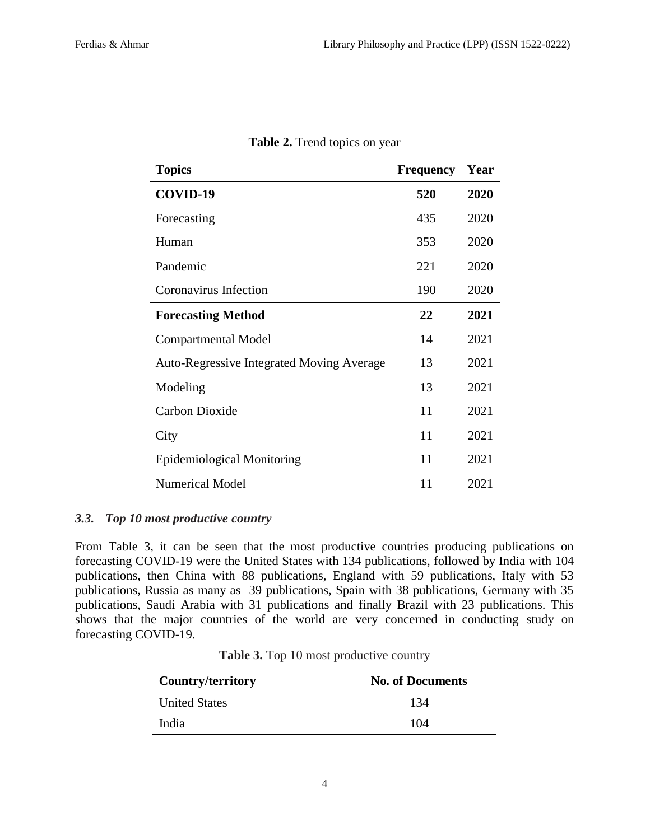| <b>Topics</b>                                    | <b>Frequency</b> | Year |
|--------------------------------------------------|------------------|------|
| COVID-19                                         | 520              | 2020 |
| Forecasting                                      | 435              | 2020 |
| Human                                            | 353              | 2020 |
| Pandemic                                         | 221              | 2020 |
| Coronavirus Infection                            | 190              | 2020 |
| <b>Forecasting Method</b>                        | 22               | 2021 |
| <b>Compartmental Model</b>                       | 14               | 2021 |
| <b>Auto-Regressive Integrated Moving Average</b> | 13               | 2021 |
| Modeling                                         | 13               | 2021 |
| <b>Carbon Dioxide</b>                            | 11               | 2021 |
| City                                             | 11               | 2021 |
| <b>Epidemiological Monitoring</b>                | 11               | 2021 |
| <b>Numerical Model</b>                           | 11               | 2021 |

|  | <b>Table 2.</b> Trend topics on year |  |  |  |  |  |
|--|--------------------------------------|--|--|--|--|--|
|--|--------------------------------------|--|--|--|--|--|

### *3.3. Top 10 most productive country*

From Table 3, it can be seen that the most productive countries producing publications on forecasting COVID-19 were the United States with 134 publications, followed by India with 104 publications, then China with 88 publications, England with 59 publications, Italy with 53 publications, Russia as many as 39 publications, Spain with 38 publications, Germany with 35 publications, Saudi Arabia with 31 publications and finally Brazil with 23 publications. This shows that the major countries of the world are very concerned in conducting study on forecasting COVID-19.

| Table 3. Top 10 most productive country |  |
|-----------------------------------------|--|
|-----------------------------------------|--|

| Country/territory    | <b>No. of Documents</b> |  |  |
|----------------------|-------------------------|--|--|
| <b>United States</b> | 134                     |  |  |
| India                | 104                     |  |  |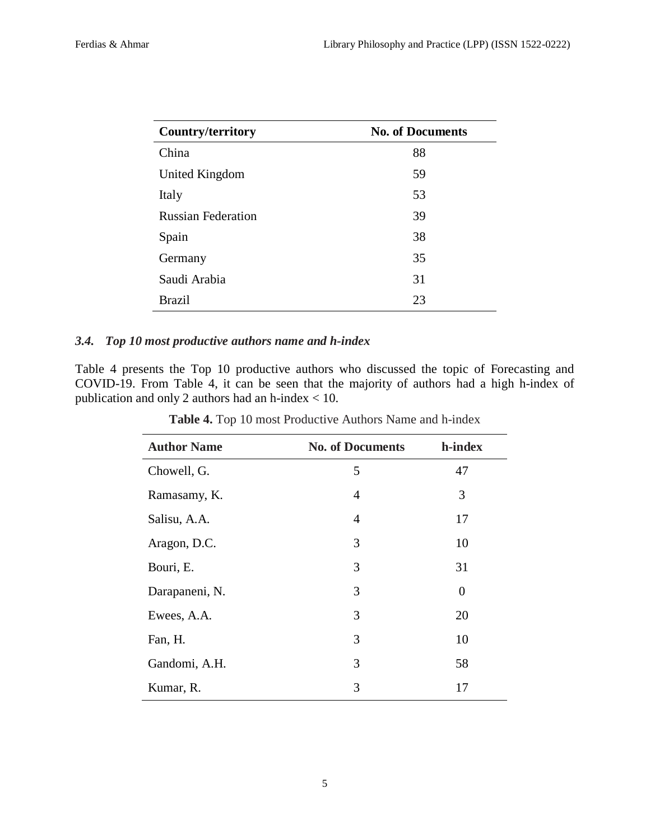| Country/territory         | <b>No. of Documents</b> |  |  |
|---------------------------|-------------------------|--|--|
| China                     | 88                      |  |  |
| United Kingdom            | 59                      |  |  |
| Italy                     | 53                      |  |  |
| <b>Russian Federation</b> | 39                      |  |  |
| Spain                     | 38                      |  |  |
| Germany                   | 35                      |  |  |
| Saudi Arabia              | 31                      |  |  |
| <b>Brazil</b>             | 23                      |  |  |

# *3.4. Top 10 most productive authors name and h-index*

Table 4 presents the Top 10 productive authors who discussed the topic of Forecasting and COVID-19. From Table 4, it can be seen that the majority of authors had a high h-index of publication and only 2 authors had an h-index < 10.

| <b>Author Name</b> | <b>No. of Documents</b> | h-index |
|--------------------|-------------------------|---------|
| Chowell, G.        | 5                       | 47      |
| Ramasamy, K.       | 4                       | 3       |
| Salisu, A.A.       | 4                       | 17      |
| Aragon, D.C.       | 3                       | 10      |
| Bouri, E.          | 3                       | 31      |
| Darapaneni, N.     | 3                       | 0       |
| Ewees, A.A.        | 3                       | 20      |
| Fan, H.            | 3                       | 10      |
| Gandomi, A.H.      | 3                       | 58      |
| Kumar, R.          | 3                       | 17      |

**Table 4.** Top 10 most Productive Authors Name and h-index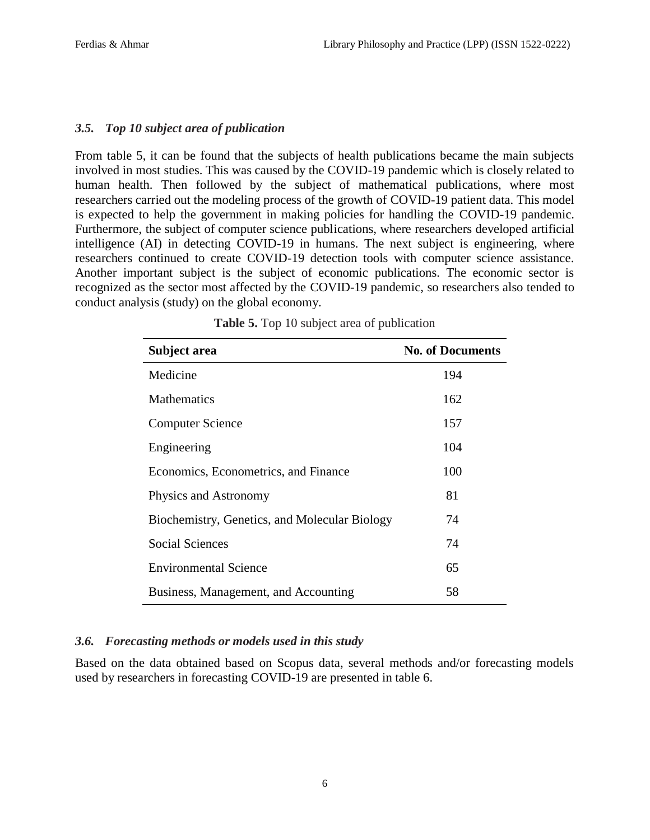# *3.5. Top 10 subject area of publication*

From table 5, it can be found that the subjects of health publications became the main subjects involved in most studies. This was caused by the COVID-19 pandemic which is closely related to human health. Then followed by the subject of mathematical publications, where most researchers carried out the modeling process of the growth of COVID-19 patient data. This model is expected to help the government in making policies for handling the COVID-19 pandemic. Furthermore, the subject of computer science publications, where researchers developed artificial intelligence (AI) in detecting COVID-19 in humans. The next subject is engineering, where researchers continued to create COVID-19 detection tools with computer science assistance. Another important subject is the subject of economic publications. The economic sector is recognized as the sector most affected by the COVID-19 pandemic, so researchers also tended to conduct analysis (study) on the global economy.

| Subject area                                  | <b>No. of Documents</b> |
|-----------------------------------------------|-------------------------|
| Medicine                                      | 194                     |
| <b>Mathematics</b>                            | 162                     |
| <b>Computer Science</b>                       | 157                     |
| Engineering                                   | 104                     |
| Economics, Econometrics, and Finance          | 100                     |
| Physics and Astronomy                         | 81                      |
| Biochemistry, Genetics, and Molecular Biology | 74                      |
| Social Sciences                               | 74                      |
| <b>Environmental Science</b>                  | 65                      |
| Business, Management, and Accounting          | 58                      |

|  |  |  | Table 5. Top 10 subject area of publication |
|--|--|--|---------------------------------------------|
|  |  |  |                                             |

# *3.6. Forecasting methods or models used in this study*

Based on the data obtained based on Scopus data, several methods and/or forecasting models used by researchers in forecasting COVID-19 are presented in table 6.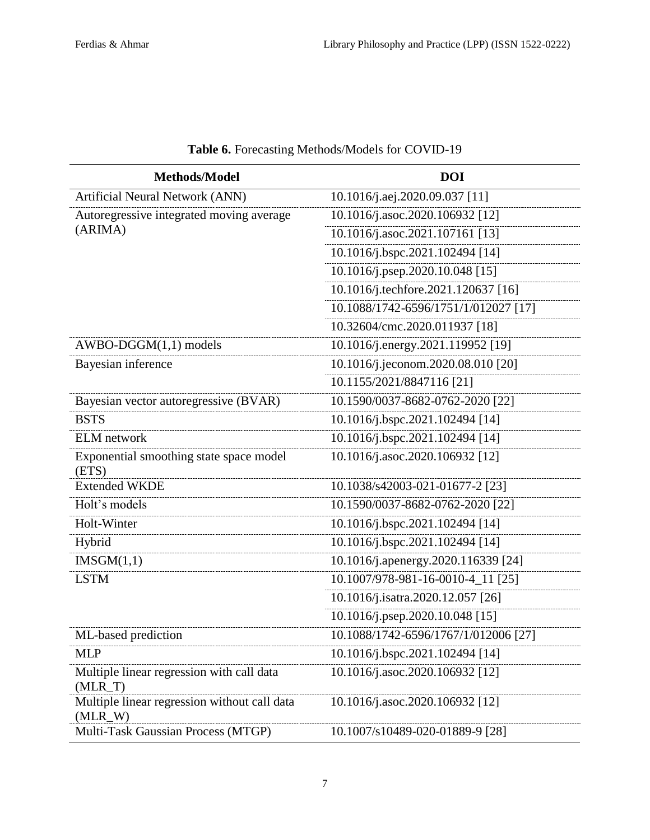| Methods/Model                                             | <b>DOI</b>                           |
|-----------------------------------------------------------|--------------------------------------|
| Artificial Neural Network (ANN)                           | 10.1016/j.aej.2020.09.037 [11]       |
| Autoregressive integrated moving average                  | 10.1016/j.asoc.2020.106932 [12]      |
| (ARIMA)                                                   | 10.1016/j.asoc.2021.107161 [13]      |
|                                                           | 10.1016/j.bspc.2021.102494 [14]      |
|                                                           | 10.1016/j.psep.2020.10.048 [15]      |
|                                                           | 10.1016/j.techfore.2021.120637 [16]  |
|                                                           | 10.1088/1742-6596/1751/1/012027 [17] |
|                                                           | 10.32604/cmc.2020.011937 [18]        |
| $AWBO-DGGM(1,1)$ models                                   | 10.1016/j.energy.2021.119952 [19]    |
| Bayesian inference                                        | 10.1016/j.jeconom.2020.08.010 [20]   |
|                                                           | 10.1155/2021/8847116 [21]            |
| Bayesian vector autoregressive (BVAR)                     | 10.1590/0037-8682-0762-2020 [22]     |
| <b>BSTS</b>                                               | 10.1016/j.bspc.2021.102494 [14]      |
| <b>ELM</b> network                                        | 10.1016/j.bspc.2021.102494 [14]      |
| Exponential smoothing state space model<br>(ETS)          | 10.1016/j.asoc.2020.106932 [12]      |
| <b>Extended WKDE</b>                                      | 10.1038/s42003-021-01677-2 [23]      |
| Holt's models                                             | 10.1590/0037-8682-0762-2020 [22]     |
| Holt-Winter                                               | 10.1016/j.bspc.2021.102494 [14]      |
| Hybrid                                                    | 10.1016/j.bspc.2021.102494 [14]      |
| IMSGM(1,1)                                                | 10.1016/j.apenergy.2020.116339 [24]  |
| <b>LSTM</b>                                               | 10.1007/978-981-16-0010-4_11 [25]    |
|                                                           | 10.1016/j.isatra.2020.12.057 [26]    |
|                                                           | 10.1016/j.psep.2020.10.048 [15]      |
| ML-based prediction                                       | 10.1088/1742-6596/1767/1/012006 [27] |
| <b>MLP</b>                                                | 10.1016/j.bspc.2021.102494 [14]      |
| Multiple linear regression with call data<br>$(MLR_T)$    | 10.1016/j.asoc.2020.106932 [12]      |
| Multiple linear regression without call data<br>$(MLR_W)$ | 10.1016/j.asoc.2020.106932 [12]      |
| Multi-Task Gaussian Process (MTGP)                        | 10.1007/s10489-020-01889-9 [28]      |

# **Table 6.** Forecasting Methods/Models for COVID-19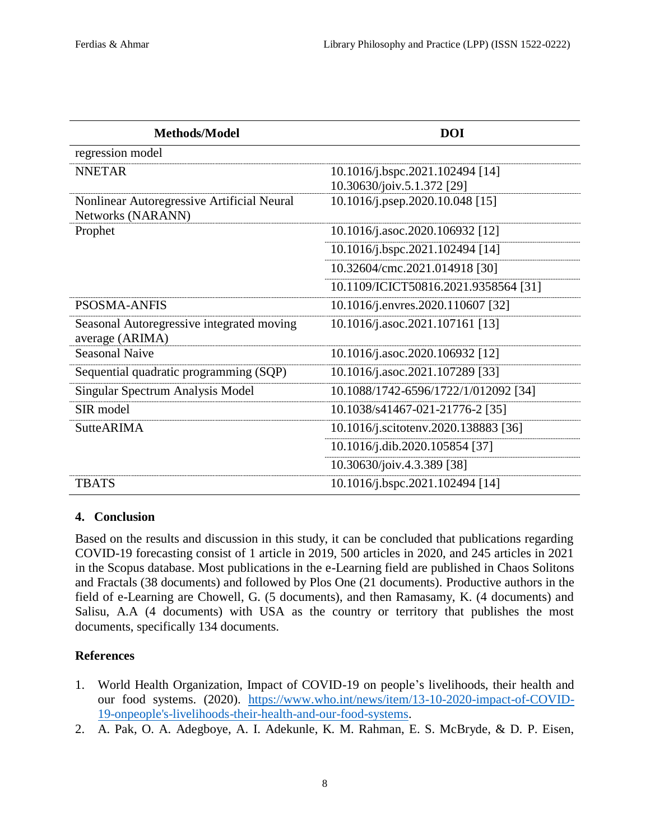| Methods/Model                                                   | <b>DOI</b>                           |
|-----------------------------------------------------------------|--------------------------------------|
| regression model                                                |                                      |
| <b>NNETAR</b>                                                   | 10.1016/j.bspc.2021.102494 [14]      |
|                                                                 | 10.30630/joiv.5.1.372 [29]           |
| Nonlinear Autoregressive Artificial Neural<br>Networks (NARANN) | 10.1016/j.psep.2020.10.048 [15]      |
| Prophet                                                         | 10.1016/j.asoc.2020.106932 [12]      |
|                                                                 | 10.1016/j.bspc.2021.102494 [14]      |
|                                                                 | 10.32604/cmc.2021.014918 [30]        |
|                                                                 | 10.1109/ICICT50816.2021.9358564 [31] |
| <b>PSOSMA-ANFIS</b>                                             | 10.1016/j.envres.2020.110607 [32]    |
| Seasonal Autoregressive integrated moving<br>average (ARIMA)    | 10.1016/j.asoc.2021.107161 [13]      |
| <b>Seasonal Naive</b>                                           | 10.1016/j.asoc.2020.106932 [12]      |
| Sequential quadratic programming (SQP)                          | 10.1016/j.asoc.2021.107289 [33]      |
| Singular Spectrum Analysis Model                                | 10.1088/1742-6596/1722/1/012092 [34] |
| SIR model                                                       | 10.1038/s41467-021-21776-2 [35]      |
| <b>SutteARIMA</b>                                               | 10.1016/j.scitotenv.2020.138883 [36] |
|                                                                 | 10.1016/j.dib.2020.105854 [37]       |
|                                                                 | 10.30630/joiv.4.3.389 [38]           |
| TBATS                                                           | 10.1016/j.bspc.2021.102494 [14]      |

# **4. Conclusion**

Based on the results and discussion in this study, it can be concluded that publications regarding COVID-19 forecasting consist of 1 article in 2019, 500 articles in 2020, and 245 articles in 2021 in the Scopus database. Most publications in the e-Learning field are published in Chaos Solitons and Fractals (38 documents) and followed by Plos One (21 documents). Productive authors in the field of e-Learning are Chowell, G. (5 documents), and then Ramasamy, K. (4 documents) and Salisu, A.A (4 documents) with USA as the country or territory that publishes the most documents, specifically 134 documents.

# **References**

- 1. World Health Organization, Impact of COVID-19 on people's livelihoods, their health and our food systems. (2020). [https://www.who.int/news/item/13-10-2020-impact-of-COVID-](https://www.who.int/news/item/13-10-2020-impact-of-COVID-19-onpeople)[19-onpeople's-livelihoods-their-health-and-our-food-systems.](https://www.who.int/news/item/13-10-2020-impact-of-COVID-19-onpeople)
- 2. A. Pak, O. A. Adegboye, A. I. Adekunle, K. M. Rahman, E. S. McBryde, & D. P. Eisen,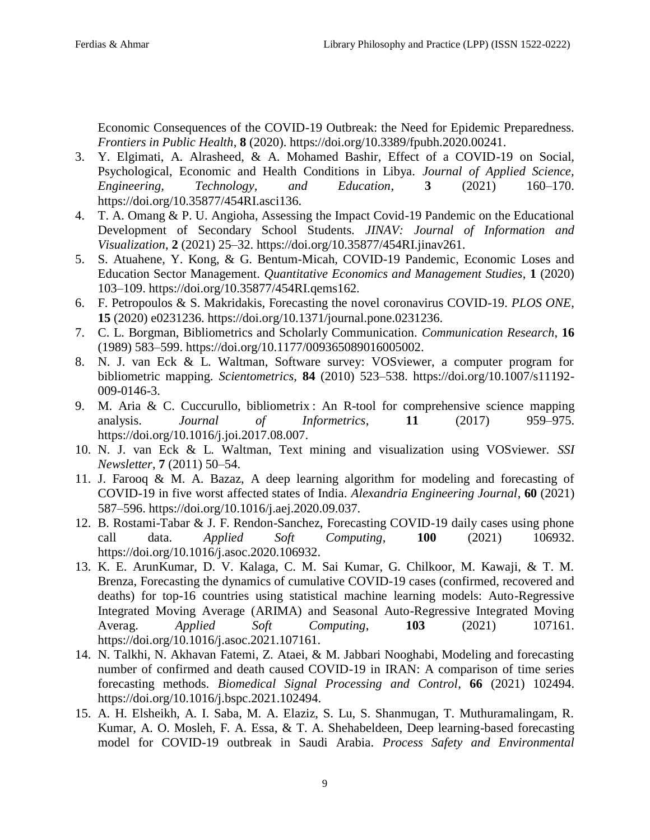Economic Consequences of the COVID-19 Outbreak: the Need for Epidemic Preparedness. *Frontiers in Public Health*, **8** (2020). https://doi.org/10.3389/fpubh.2020.00241.

- 3. Y. Elgimati, A. Alrasheed, & A. Mohamed Bashir, Effect of a COVID-19 on Social, Psychological, Economic and Health Conditions in Libya. *Journal of Applied Science, Engineering, Technology, and Education*, **3** (2021) 160–170. https://doi.org/10.35877/454RI.asci136.
- 4. T. A. Omang & P. U. Angioha, Assessing the Impact Covid-19 Pandemic on the Educational Development of Secondary School Students. *JINAV: Journal of Information and Visualization*, **2** (2021) 25–32. https://doi.org/10.35877/454RI.jinav261.
- 5. S. Atuahene, Y. Kong, & G. Bentum-Micah, COVID-19 Pandemic, Economic Loses and Education Sector Management. *Quantitative Economics and Management Studies*, **1** (2020) 103–109. https://doi.org/10.35877/454RI.qems162.
- 6. F. Petropoulos & S. Makridakis, Forecasting the novel coronavirus COVID-19. *PLOS ONE*, **15** (2020) e0231236. https://doi.org/10.1371/journal.pone.0231236.
- 7. C. L. Borgman, Bibliometrics and Scholarly Communication. *Communication Research*, **16** (1989) 583–599. https://doi.org/10.1177/009365089016005002.
- 8. N. J. van Eck & L. Waltman, Software survey: VOSviewer, a computer program for bibliometric mapping. *Scientometrics*, **84** (2010) 523–538. https://doi.org/10.1007/s11192- 009-0146-3.
- 9. M. Aria & C. Cuccurullo, bibliometrix : An R-tool for comprehensive science mapping analysis. *Journal of Informetrics*, **11** (2017) 959–975. https://doi.org/10.1016/j.joi.2017.08.007.
- 10. N. J. van Eck & L. Waltman, Text mining and visualization using VOSviewer. *SSI Newsletter*, **7** (2011) 50–54.
- 11. J. Farooq & M. A. Bazaz, A deep learning algorithm for modeling and forecasting of COVID-19 in five worst affected states of India. *Alexandria Engineering Journal*, **60** (2021) 587–596. https://doi.org/10.1016/j.aej.2020.09.037.
- 12. B. Rostami-Tabar & J. F. Rendon-Sanchez, Forecasting COVID-19 daily cases using phone call data. *Applied Soft Computing*, **100** (2021) 106932. https://doi.org/10.1016/j.asoc.2020.106932.
- 13. K. E. ArunKumar, D. V. Kalaga, C. M. Sai Kumar, G. Chilkoor, M. Kawaji, & T. M. Brenza, Forecasting the dynamics of cumulative COVID-19 cases (confirmed, recovered and deaths) for top-16 countries using statistical machine learning models: Auto-Regressive Integrated Moving Average (ARIMA) and Seasonal Auto-Regressive Integrated Moving Averag. *Applied Soft Computing*, **103** (2021) 107161. https://doi.org/10.1016/j.asoc.2021.107161.
- 14. N. Talkhi, N. Akhavan Fatemi, Z. Ataei, & M. Jabbari Nooghabi, Modeling and forecasting number of confirmed and death caused COVID-19 in IRAN: A comparison of time series forecasting methods. *Biomedical Signal Processing and Control*, **66** (2021) 102494. https://doi.org/10.1016/j.bspc.2021.102494.
- 15. A. H. Elsheikh, A. I. Saba, M. A. Elaziz, S. Lu, S. Shanmugan, T. Muthuramalingam, R. Kumar, A. O. Mosleh, F. A. Essa, & T. A. Shehabeldeen, Deep learning-based forecasting model for COVID-19 outbreak in Saudi Arabia. *Process Safety and Environmental*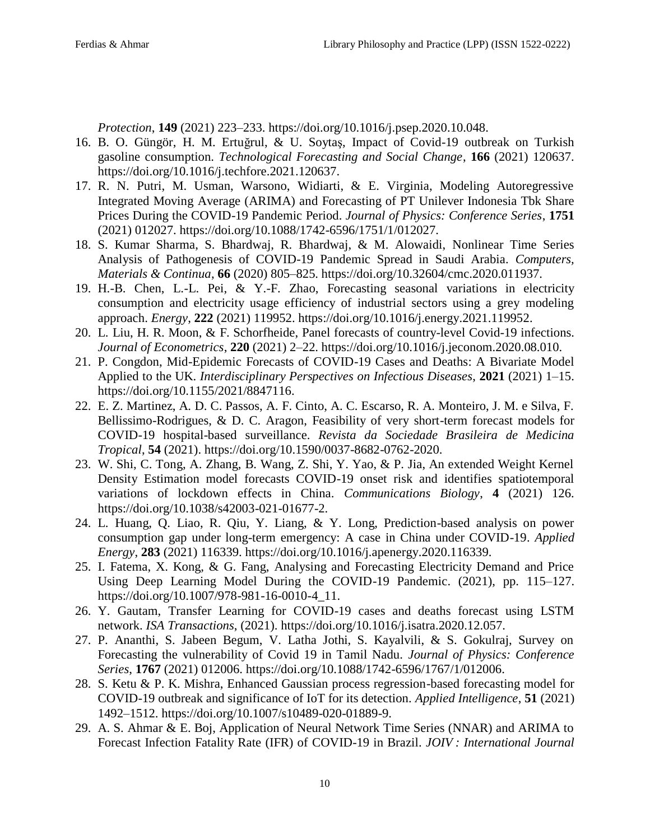*Protection*, **149** (2021) 223–233. https://doi.org/10.1016/j.psep.2020.10.048.

- 16. B. O. Güngör, H. M. Ertuğrul, & U. Soytaş, Impact of Covid-19 outbreak on Turkish gasoline consumption. *Technological Forecasting and Social Change*, **166** (2021) 120637. https://doi.org/10.1016/j.techfore.2021.120637.
- 17. R. N. Putri, M. Usman, Warsono, Widiarti, & E. Virginia, Modeling Autoregressive Integrated Moving Average (ARIMA) and Forecasting of PT Unilever Indonesia Tbk Share Prices During the COVID-19 Pandemic Period. *Journal of Physics: Conference Series*, **1751** (2021) 012027. https://doi.org/10.1088/1742-6596/1751/1/012027.
- 18. S. Kumar Sharma, S. Bhardwaj, R. Bhardwaj, & M. Alowaidi, Nonlinear Time Series Analysis of Pathogenesis of COVID-19 Pandemic Spread in Saudi Arabia. *Computers, Materials & Continua*, **66** (2020) 805–825. https://doi.org/10.32604/cmc.2020.011937.
- 19. H.-B. Chen, L.-L. Pei, & Y.-F. Zhao, Forecasting seasonal variations in electricity consumption and electricity usage efficiency of industrial sectors using a grey modeling approach. *Energy*, **222** (2021) 119952. https://doi.org/10.1016/j.energy.2021.119952.
- 20. L. Liu, H. R. Moon, & F. Schorfheide, Panel forecasts of country-level Covid-19 infections. *Journal of Econometrics*, **220** (2021) 2–22. https://doi.org/10.1016/j.jeconom.2020.08.010.
- 21. P. Congdon, Mid-Epidemic Forecasts of COVID-19 Cases and Deaths: A Bivariate Model Applied to the UK. *Interdisciplinary Perspectives on Infectious Diseases*, **2021** (2021) 1–15. https://doi.org/10.1155/2021/8847116.
- 22. E. Z. Martinez, A. D. C. Passos, A. F. Cinto, A. C. Escarso, R. A. Monteiro, J. M. e Silva, F. Bellissimo-Rodrigues, & D. C. Aragon, Feasibility of very short-term forecast models for COVID-19 hospital-based surveillance. *Revista da Sociedade Brasileira de Medicina Tropical*, **54** (2021). https://doi.org/10.1590/0037-8682-0762-2020.
- 23. W. Shi, C. Tong, A. Zhang, B. Wang, Z. Shi, Y. Yao, & P. Jia, An extended Weight Kernel Density Estimation model forecasts COVID-19 onset risk and identifies spatiotemporal variations of lockdown effects in China. *Communications Biology*, **4** (2021) 126. https://doi.org/10.1038/s42003-021-01677-2.
- 24. L. Huang, Q. Liao, R. Qiu, Y. Liang, & Y. Long, Prediction-based analysis on power consumption gap under long-term emergency: A case in China under COVID-19. *Applied Energy*, **283** (2021) 116339. https://doi.org/10.1016/j.apenergy.2020.116339.
- 25. I. Fatema, X. Kong, & G. Fang, Analysing and Forecasting Electricity Demand and Price Using Deep Learning Model During the COVID-19 Pandemic. (2021), pp. 115–127. https://doi.org/10.1007/978-981-16-0010-4\_11.
- 26. Y. Gautam, Transfer Learning for COVID-19 cases and deaths forecast using LSTM network. *ISA Transactions*, (2021). https://doi.org/10.1016/j.isatra.2020.12.057.
- 27. P. Ananthi, S. Jabeen Begum, V. Latha Jothi, S. Kayalvili, & S. Gokulraj, Survey on Forecasting the vulnerability of Covid 19 in Tamil Nadu. *Journal of Physics: Conference Series*, **1767** (2021) 012006. https://doi.org/10.1088/1742-6596/1767/1/012006.
- 28. S. Ketu & P. K. Mishra, Enhanced Gaussian process regression-based forecasting model for COVID-19 outbreak and significance of IoT for its detection. *Applied Intelligence*, **51** (2021) 1492–1512. https://doi.org/10.1007/s10489-020-01889-9.
- 29. A. S. Ahmar & E. Boj, Application of Neural Network Time Series (NNAR) and ARIMA to Forecast Infection Fatality Rate (IFR) of COVID-19 in Brazil. *JOIV : International Journal*